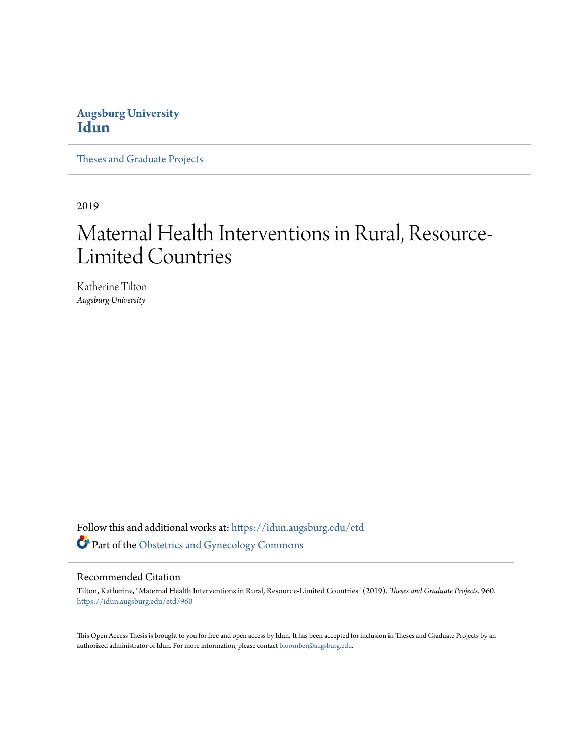# **Augsburg University [Idun](https://idun.augsburg.edu/?utm_source=idun.augsburg.edu%2Fetd%2F960&utm_medium=PDF&utm_campaign=PDFCoverPages)**

[Theses and Graduate Projects](https://idun.augsburg.edu/etd?utm_source=idun.augsburg.edu%2Fetd%2F960&utm_medium=PDF&utm_campaign=PDFCoverPages)

2019

# Maternal Health Interventions in Rural, Resource-Limited Countries

Katherine Tilton *Augsburg University*

Follow this and additional works at: [https://idun.augsburg.edu/etd](https://idun.augsburg.edu/etd?utm_source=idun.augsburg.edu%2Fetd%2F960&utm_medium=PDF&utm_campaign=PDFCoverPages) Part of the [Obstetrics and Gynecology Commons](http://network.bepress.com/hgg/discipline/693?utm_source=idun.augsburg.edu%2Fetd%2F960&utm_medium=PDF&utm_campaign=PDFCoverPages)

#### Recommended Citation

Tilton, Katherine, "Maternal Health Interventions in Rural, Resource-Limited Countries" (2019). *Theses and Graduate Projects*. 960. [https://idun.augsburg.edu/etd/960](https://idun.augsburg.edu/etd/960?utm_source=idun.augsburg.edu%2Fetd%2F960&utm_medium=PDF&utm_campaign=PDFCoverPages)

This Open Access Thesis is brought to you for free and open access by Idun. It has been accepted for inclusion in Theses and Graduate Projects by an authorized administrator of Idun. For more information, please contact [bloomber@augsburg.edu.](mailto:bloomber@augsburg.edu)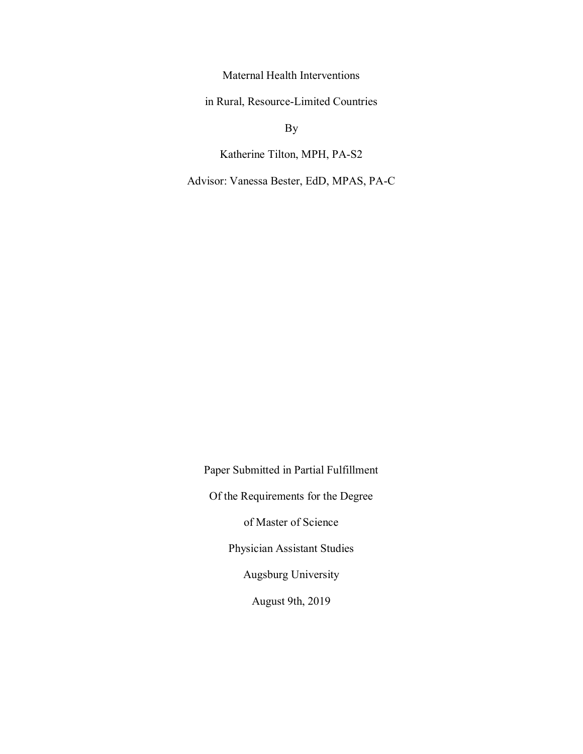Maternal Health Interventions

in Rural, Resource-Limited Countries

By

Katherine Tilton, MPH, PA-S2

Advisor: Vanessa Bester, EdD, MPAS, PA-C

Paper Submitted in Partial Fulfillment Of the Requirements for the Degree of Master of Science Physician Assistant Studies Augsburg University August 9th, 2019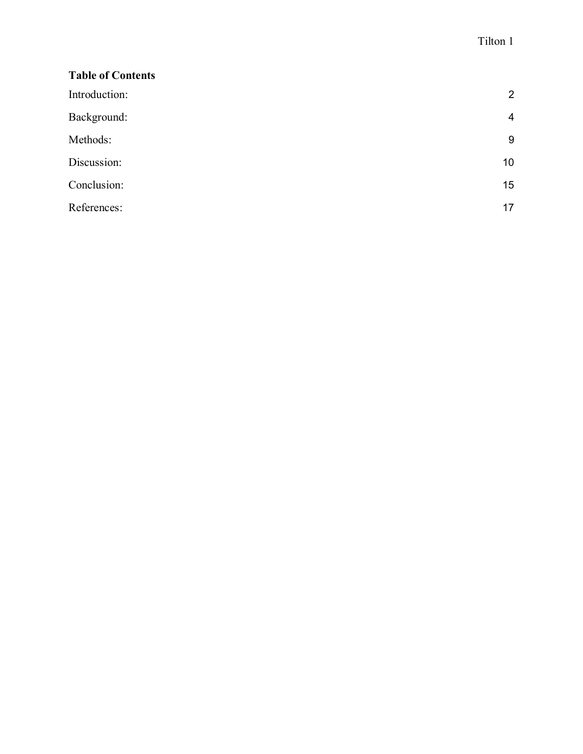| <b>Table of Contents</b> |                 |
|--------------------------|-----------------|
| Introduction:            | $\overline{2}$  |
| Background:              | $\overline{4}$  |
| Methods:                 | 9               |
| Discussion:              | 10 <sup>1</sup> |
| Conclusion:              | 15              |
| References:              | 17              |
|                          |                 |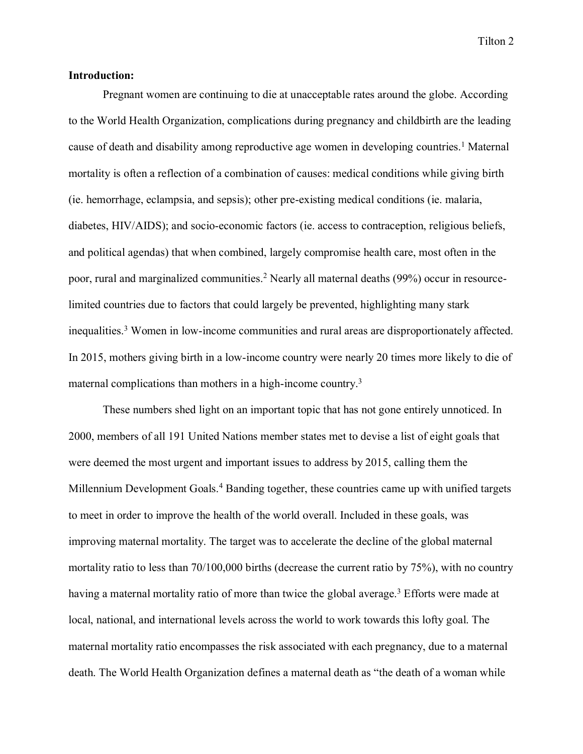### **Introduction:**

Pregnant women are continuing to die at unacceptable rates around the globe. According to the World Health Organization, complications during pregnancy and childbirth are the leading cause of death and disability among reproductive age women in developing countries.<sup>1</sup> Maternal mortality is often a reflection of a combination of causes: medical conditions while giving birth (ie. hemorrhage, eclampsia, and sepsis); other pre-existing medical conditions (ie. malaria, diabetes, HIV/AIDS); and socio-economic factors (ie. access to contraception, religious beliefs, and political agendas) that when combined, largely compromise health care, most often in the poor, rural and marginalized communities.2 Nearly all maternal deaths (99%) occur in resourcelimited countries due to factors that could largely be prevented, highlighting many stark inequalities.3 Women in low-income communities and rural areas are disproportionately affected. In 2015, mothers giving birth in a low-income country were nearly 20 times more likely to die of maternal complications than mothers in a high-income country.<sup>3</sup>

These numbers shed light on an important topic that has not gone entirely unnoticed. In 2000, members of all 191 United Nations member states met to devise a list of eight goals that were deemed the most urgent and important issues to address by 2015, calling them the Millennium Development Goals.<sup>4</sup> Banding together, these countries came up with unified targets to meet in order to improve the health of the world overall. Included in these goals, was improving maternal mortality. The target was to accelerate the decline of the global maternal mortality ratio to less than 70/100,000 births (decrease the current ratio by 75%), with no country having a maternal mortality ratio of more than twice the global average.<sup>3</sup> Efforts were made at local, national, and international levels across the world to work towards this lofty goal. The maternal mortality ratio encompasses the risk associated with each pregnancy, due to a maternal death. The World Health Organization defines a maternal death as "the death of a woman while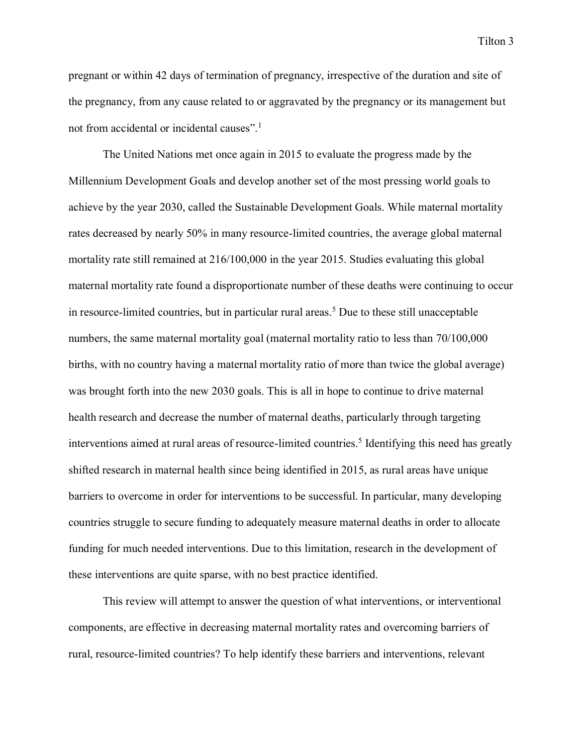pregnant or within 42 days of termination of pregnancy, irrespective of the duration and site of the pregnancy, from any cause related to or aggravated by the pregnancy or its management but not from accidental or incidental causes".<sup>1</sup>

The United Nations met once again in 2015 to evaluate the progress made by the Millennium Development Goals and develop another set of the most pressing world goals to achieve by the year 2030, called the Sustainable Development Goals. While maternal mortality rates decreased by nearly 50% in many resource-limited countries, the average global maternal mortality rate still remained at 216/100,000 in the year 2015. Studies evaluating this global maternal mortality rate found a disproportionate number of these deaths were continuing to occur in resource-limited countries, but in particular rural areas.5 Due to these still unacceptable numbers, the same maternal mortality goal (maternal mortality ratio to less than 70/100,000 births, with no country having a maternal mortality ratio of more than twice the global average) was brought forth into the new 2030 goals. This is all in hope to continue to drive maternal health research and decrease the number of maternal deaths, particularly through targeting interventions aimed at rural areas of resource-limited countries.<sup>5</sup> Identifying this need has greatly shifted research in maternal health since being identified in 2015, as rural areas have unique barriers to overcome in order for interventions to be successful. In particular, many developing countries struggle to secure funding to adequately measure maternal deaths in order to allocate funding for much needed interventions. Due to this limitation, research in the development of these interventions are quite sparse, with no best practice identified.

This review will attempt to answer the question of what interventions, or interventional components, are effective in decreasing maternal mortality rates and overcoming barriers of rural, resource-limited countries? To help identify these barriers and interventions, relevant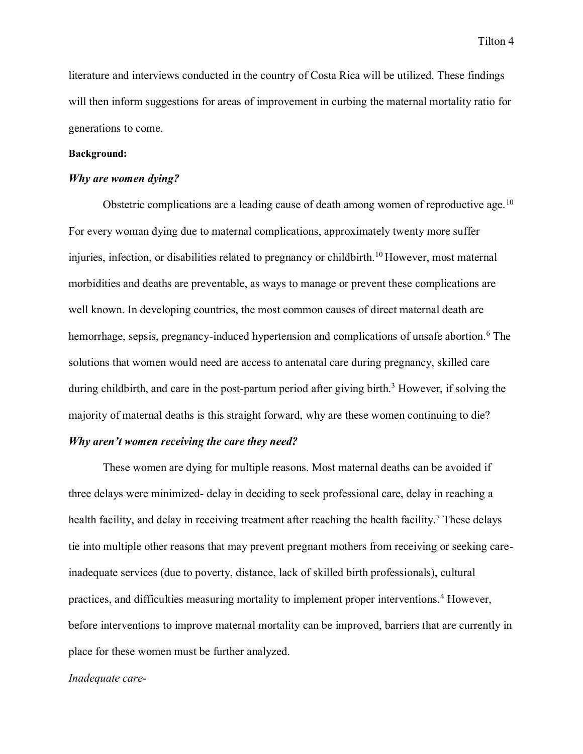literature and interviews conducted in the country of Costa Rica will be utilized. These findings will then inform suggestions for areas of improvement in curbing the maternal mortality ratio for generations to come.

#### **Background:**

#### *Why are women dying?*

Obstetric complications are a leading cause of death among women of reproductive age.<sup>10</sup> For every woman dying due to maternal complications, approximately twenty more suffer injuries, infection, or disabilities related to pregnancy or childbirth.<sup>10</sup> However, most maternal morbidities and deaths are preventable, as ways to manage or prevent these complications are well known. In developing countries, the most common causes of direct maternal death are hemorrhage, sepsis, pregnancy-induced hypertension and complications of unsafe abortion.<sup>6</sup> The solutions that women would need are access to antenatal care during pregnancy, skilled care during childbirth, and care in the post-partum period after giving birth.<sup>3</sup> However, if solving the majority of maternal deaths is this straight forward, why are these women continuing to die? *Why aren't women receiving the care they need?*

These women are dying for multiple reasons. Most maternal deaths can be avoided if three delays were minimized- delay in deciding to seek professional care, delay in reaching a health facility, and delay in receiving treatment after reaching the health facility.<sup>7</sup> These delays tie into multiple other reasons that may prevent pregnant mothers from receiving or seeking careinadequate services (due to poverty, distance, lack of skilled birth professionals), cultural practices, and difficulties measuring mortality to implement proper interventions.4 However, before interventions to improve maternal mortality can be improved, barriers that are currently in place for these women must be further analyzed.

#### *Inadequate care-*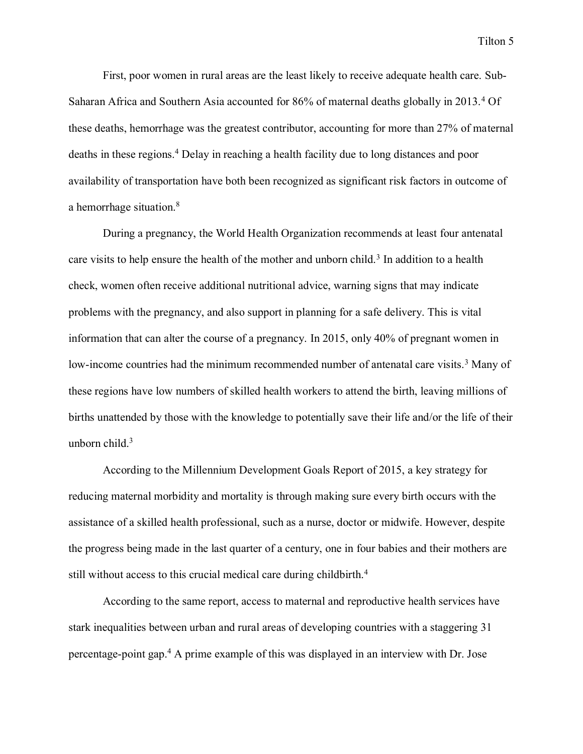First, poor women in rural areas are the least likely to receive adequate health care. Sub-Saharan Africa and Southern Asia accounted for 86% of maternal deaths globally in 2013.4 Of these deaths, hemorrhage was the greatest contributor, accounting for more than 27% of maternal deaths in these regions.4 Delay in reaching a health facility due to long distances and poor availability of transportation have both been recognized as significant risk factors in outcome of a hemorrhage situation.8

During a pregnancy, the World Health Organization recommends at least four antenatal care visits to help ensure the health of the mother and unborn child.<sup>3</sup> In addition to a health check, women often receive additional nutritional advice, warning signs that may indicate problems with the pregnancy, and also support in planning for a safe delivery. This is vital information that can alter the course of a pregnancy. In 2015, only 40% of pregnant women in low-income countries had the minimum recommended number of antenatal care visits.<sup>3</sup> Many of these regions have low numbers of skilled health workers to attend the birth, leaving millions of births unattended by those with the knowledge to potentially save their life and/or the life of their unborn child.3

According to the Millennium Development Goals Report of 2015, a key strategy for reducing maternal morbidity and mortality is through making sure every birth occurs with the assistance of a skilled health professional, such as a nurse, doctor or midwife. However, despite the progress being made in the last quarter of a century, one in four babies and their mothers are still without access to this crucial medical care during childbirth.<sup>4</sup>

According to the same report, access to maternal and reproductive health services have stark inequalities between urban and rural areas of developing countries with a staggering 31 percentage-point gap.4 A prime example of this was displayed in an interview with Dr. Jose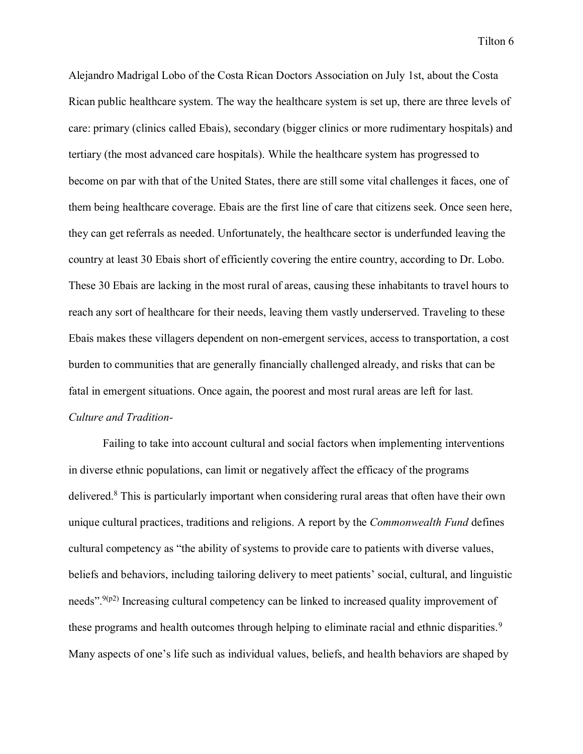Alejandro Madrigal Lobo of the Costa Rican Doctors Association on July 1st, about the Costa Rican public healthcare system. The way the healthcare system is set up, there are three levels of care: primary (clinics called Ebais), secondary (bigger clinics or more rudimentary hospitals) and tertiary (the most advanced care hospitals). While the healthcare system has progressed to become on par with that of the United States, there are still some vital challenges it faces, one of them being healthcare coverage. Ebais are the first line of care that citizens seek. Once seen here, they can get referrals as needed. Unfortunately, the healthcare sector is underfunded leaving the country at least 30 Ebais short of efficiently covering the entire country, according to Dr. Lobo. These 30 Ebais are lacking in the most rural of areas, causing these inhabitants to travel hours to reach any sort of healthcare for their needs, leaving them vastly underserved. Traveling to these Ebais makes these villagers dependent on non-emergent services, access to transportation, a cost burden to communities that are generally financially challenged already, and risks that can be fatal in emergent situations. Once again, the poorest and most rural areas are left for last. *Culture and Tradition-*

Failing to take into account cultural and social factors when implementing interventions in diverse ethnic populations, can limit or negatively affect the efficacy of the programs delivered.8 This is particularly important when considering rural areas that often have their own unique cultural practices, traditions and religions. A report by the *Commonwealth Fund* defines cultural competency as "the ability of systems to provide care to patients with diverse values, beliefs and behaviors, including tailoring delivery to meet patients' social, cultural, and linguistic needs".<sup>9(p2)</sup> Increasing cultural competency can be linked to increased quality improvement of these programs and health outcomes through helping to eliminate racial and ethnic disparities.<sup>9</sup> Many aspects of one's life such as individual values, beliefs, and health behaviors are shaped by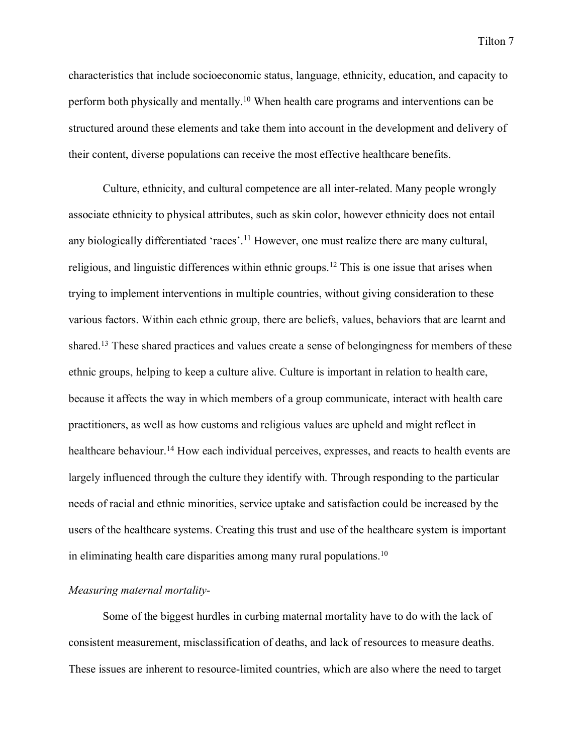characteristics that include socioeconomic status, language, ethnicity, education, and capacity to perform both physically and mentally.10 When health care programs and interventions can be structured around these elements and take them into account in the development and delivery of their content, diverse populations can receive the most effective healthcare benefits.

Culture, ethnicity, and cultural competence are all inter-related. Many people wrongly associate ethnicity to physical attributes, such as skin color, however ethnicity does not entail any biologically differentiated 'races'.<sup>11</sup> However, one must realize there are many cultural, religious, and linguistic differences within ethnic groups.12 This is one issue that arises when trying to implement interventions in multiple countries, without giving consideration to these various factors. Within each ethnic group, there are beliefs, values, behaviors that are learnt and shared.13 These shared practices and values create a sense of belongingness for members of these ethnic groups, helping to keep a culture alive. Culture is important in relation to health care, because it affects the way in which members of a group communicate, interact with health care practitioners, as well as how customs and religious values are upheld and might reflect in healthcare behaviour.<sup>14</sup> How each individual perceives, expresses, and reacts to health events are largely influenced through the culture they identify with. Through responding to the particular needs of racial and ethnic minorities, service uptake and satisfaction could be increased by the users of the healthcare systems. Creating this trust and use of the healthcare system is important in eliminating health care disparities among many rural populations.10

#### *Measuring maternal mortality-*

Some of the biggest hurdles in curbing maternal mortality have to do with the lack of consistent measurement, misclassification of deaths, and lack of resources to measure deaths. These issues are inherent to resource-limited countries, which are also where the need to target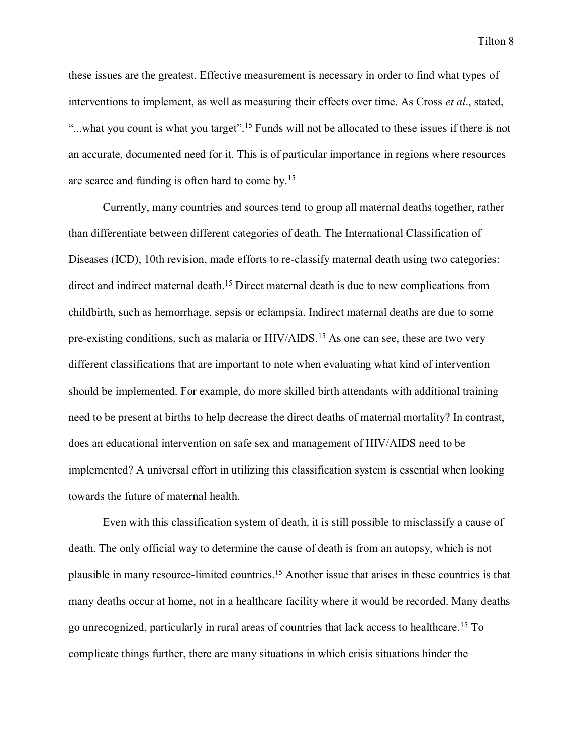these issues are the greatest. Effective measurement is necessary in order to find what types of interventions to implement, as well as measuring their effects over time. As Cross *et al*., stated, "...what you count is what you target".<sup>15</sup> Funds will not be allocated to these issues if there is not an accurate, documented need for it. This is of particular importance in regions where resources are scarce and funding is often hard to come by.15

Currently, many countries and sources tend to group all maternal deaths together, rather than differentiate between different categories of death. The International Classification of Diseases (ICD), 10th revision, made efforts to re-classify maternal death using two categories: direct and indirect maternal death.15 Direct maternal death is due to new complications from childbirth, such as hemorrhage, sepsis or eclampsia. Indirect maternal deaths are due to some pre-existing conditions, such as malaria or HIV/AIDS.15 As one can see, these are two very different classifications that are important to note when evaluating what kind of intervention should be implemented. For example, do more skilled birth attendants with additional training need to be present at births to help decrease the direct deaths of maternal mortality? In contrast, does an educational intervention on safe sex and management of HIV/AIDS need to be implemented? A universal effort in utilizing this classification system is essential when looking towards the future of maternal health.

Even with this classification system of death, it is still possible to misclassify a cause of death. The only official way to determine the cause of death is from an autopsy, which is not plausible in many resource-limited countries.15 Another issue that arises in these countries is that many deaths occur at home, not in a healthcare facility where it would be recorded. Many deaths go unrecognized, particularly in rural areas of countries that lack access to healthcare.15 To complicate things further, there are many situations in which crisis situations hinder the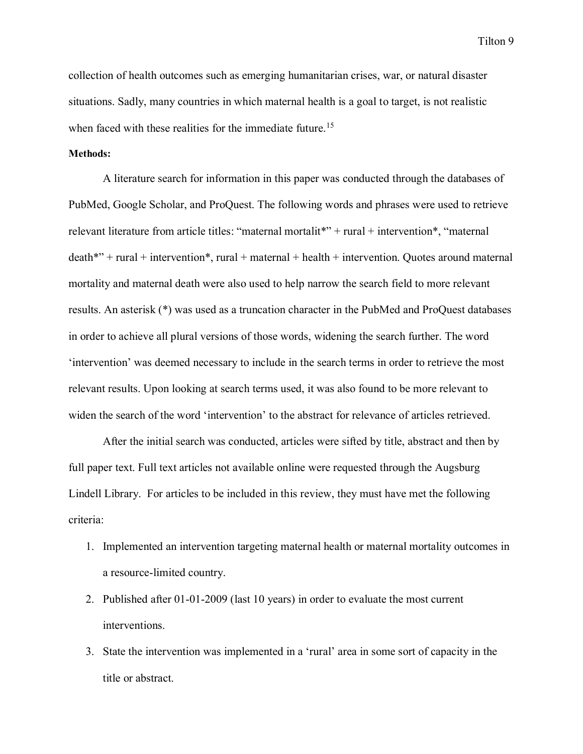collection of health outcomes such as emerging humanitarian crises, war, or natural disaster situations. Sadly, many countries in which maternal health is a goal to target, is not realistic when faced with these realities for the immediate future.<sup>15</sup>

#### **Methods:**

A literature search for information in this paper was conducted through the databases of PubMed, Google Scholar, and ProQuest. The following words and phrases were used to retrieve relevant literature from article titles: "maternal mortalit\*" + rural + intervention\*, "maternal  $death**" + rural + intervention*, rural + maternal + health + intervention. Quotes around maternal$ mortality and maternal death were also used to help narrow the search field to more relevant results. An asterisk (\*) was used as a truncation character in the PubMed and ProQuest databases in order to achieve all plural versions of those words, widening the search further. The word 'intervention' was deemed necessary to include in the search terms in order to retrieve the most relevant results. Upon looking at search terms used, it was also found to be more relevant to widen the search of the word 'intervention' to the abstract for relevance of articles retrieved.

After the initial search was conducted, articles were sifted by title, abstract and then by full paper text. Full text articles not available online were requested through the Augsburg Lindell Library. For articles to be included in this review, they must have met the following criteria:

- 1. Implemented an intervention targeting maternal health or maternal mortality outcomes in a resource-limited country.
- 2. Published after 01-01-2009 (last 10 years) in order to evaluate the most current interventions.
- 3. State the intervention was implemented in a 'rural' area in some sort of capacity in the title or abstract.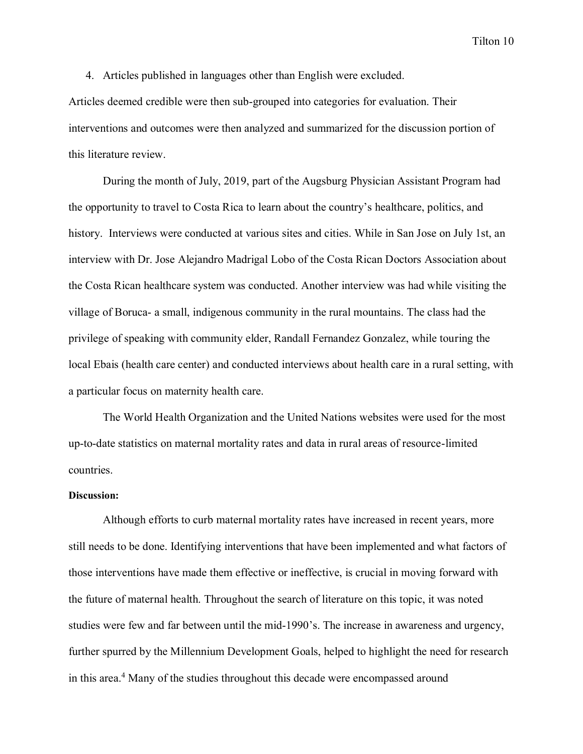4. Articles published in languages other than English were excluded. Articles deemed credible were then sub-grouped into categories for evaluation. Their interventions and outcomes were then analyzed and summarized for the discussion portion of this literature review.

During the month of July, 2019, part of the Augsburg Physician Assistant Program had the opportunity to travel to Costa Rica to learn about the country's healthcare, politics, and history. Interviews were conducted at various sites and cities. While in San Jose on July 1st, an interview with Dr. Jose Alejandro Madrigal Lobo of the Costa Rican Doctors Association about the Costa Rican healthcare system was conducted. Another interview was had while visiting the village of Boruca- a small, indigenous community in the rural mountains. The class had the privilege of speaking with community elder, Randall Fernandez Gonzalez, while touring the local Ebais (health care center) and conducted interviews about health care in a rural setting, with a particular focus on maternity health care.

The World Health Organization and the United Nations websites were used for the most up-to-date statistics on maternal mortality rates and data in rural areas of resource-limited countries.

#### **Discussion:**

Although efforts to curb maternal mortality rates have increased in recent years, more still needs to be done. Identifying interventions that have been implemented and what factors of those interventions have made them effective or ineffective, is crucial in moving forward with the future of maternal health. Throughout the search of literature on this topic, it was noted studies were few and far between until the mid-1990's. The increase in awareness and urgency, further spurred by the Millennium Development Goals, helped to highlight the need for research in this area.4 Many of the studies throughout this decade were encompassed around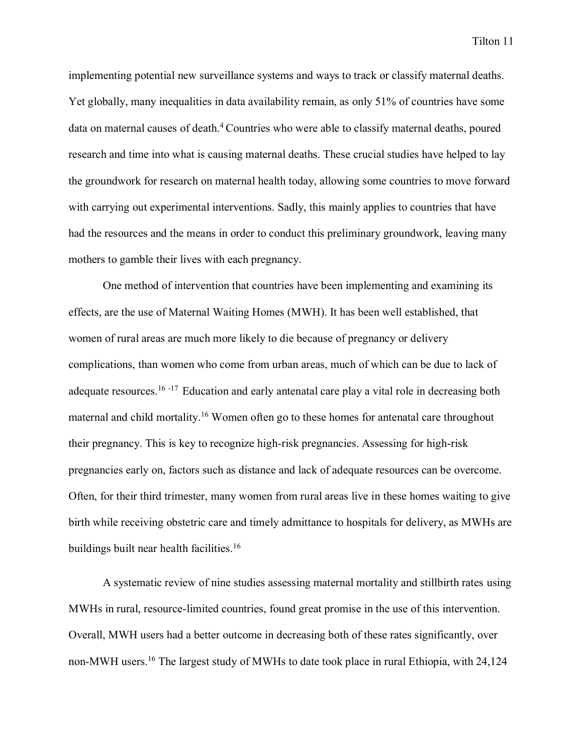implementing potential new surveillance systems and ways to track or classify maternal deaths. Yet globally, many inequalities in data availability remain, as only 51% of countries have some data on maternal causes of death.<sup>4</sup> Countries who were able to classify maternal deaths, poured research and time into what is causing maternal deaths. These crucial studies have helped to lay the groundwork for research on maternal health today, allowing some countries to move forward with carrying out experimental interventions. Sadly, this mainly applies to countries that have had the resources and the means in order to conduct this preliminary groundwork, leaving many mothers to gamble their lives with each pregnancy.

One method of intervention that countries have been implementing and examining its effects, are the use of Maternal Waiting Homes (MWH). It has been well established, that women of rural areas are much more likely to die because of pregnancy or delivery complications, than women who come from urban areas, much of which can be due to lack of adequate resources.<sup>16-17</sup> Education and early antenatal care play a vital role in decreasing both maternal and child mortality.16 Women often go to these homes for antenatal care throughout their pregnancy. This is key to recognize high-risk pregnancies. Assessing for high-risk pregnancies early on, factors such as distance and lack of adequate resources can be overcome. Often, for their third trimester, many women from rural areas live in these homes waiting to give birth while receiving obstetric care and timely admittance to hospitals for delivery, as MWHs are buildings built near health facilities.<sup>16</sup>

A systematic review of nine studies assessing maternal mortality and stillbirth rates using MWHs in rural, resource-limited countries, found great promise in the use of this intervention. Overall, MWH users had a better outcome in decreasing both of these rates significantly, over non-MWH users.16 The largest study of MWHs to date took place in rural Ethiopia, with 24,124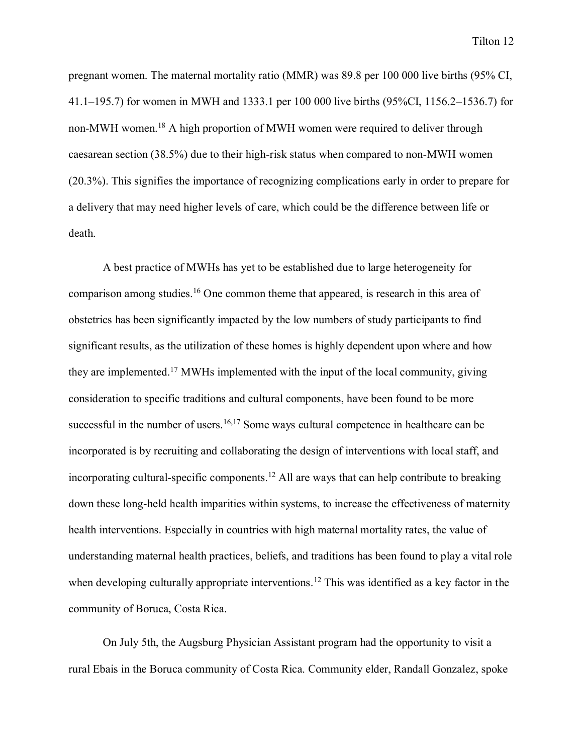pregnant women. The maternal mortality ratio (MMR) was 89.8 per 100 000 live births (95% CI, 41.1–195.7) for women in MWH and 1333.1 per 100 000 live births (95%CI, 1156.2–1536.7) for non-MWH women.18 A high proportion of MWH women were required to deliver through caesarean section (38.5%) due to their high-risk status when compared to non-MWH women (20.3%). This signifies the importance of recognizing complications early in order to prepare for a delivery that may need higher levels of care, which could be the difference between life or death.

A best practice of MWHs has yet to be established due to large heterogeneity for comparison among studies.16 One common theme that appeared, is research in this area of obstetrics has been significantly impacted by the low numbers of study participants to find significant results, as the utilization of these homes is highly dependent upon where and how they are implemented.17 MWHs implemented with the input of the local community, giving consideration to specific traditions and cultural components, have been found to be more successful in the number of users.<sup>16,17</sup> Some ways cultural competence in healthcare can be incorporated is by recruiting and collaborating the design of interventions with local staff, and incorporating cultural-specific components.<sup>12</sup> All are ways that can help contribute to breaking down these long-held health imparities within systems, to increase the effectiveness of maternity health interventions. Especially in countries with high maternal mortality rates, the value of understanding maternal health practices, beliefs, and traditions has been found to play a vital role when developing culturally appropriate interventions.<sup>12</sup> This was identified as a key factor in the community of Boruca, Costa Rica.

On July 5th, the Augsburg Physician Assistant program had the opportunity to visit a rural Ebais in the Boruca community of Costa Rica. Community elder, Randall Gonzalez, spoke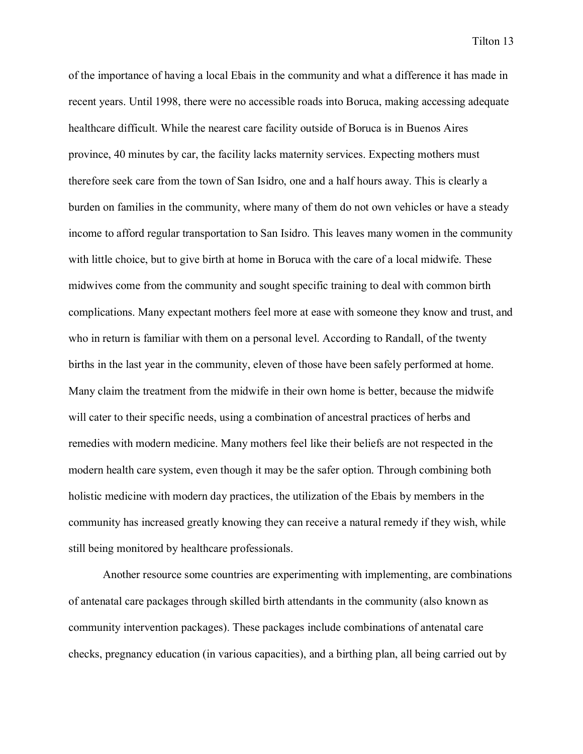of the importance of having a local Ebais in the community and what a difference it has made in recent years. Until 1998, there were no accessible roads into Boruca, making accessing adequate healthcare difficult. While the nearest care facility outside of Boruca is in Buenos Aires province, 40 minutes by car, the facility lacks maternity services. Expecting mothers must therefore seek care from the town of San Isidro, one and a half hours away. This is clearly a burden on families in the community, where many of them do not own vehicles or have a steady income to afford regular transportation to San Isidro. This leaves many women in the community with little choice, but to give birth at home in Boruca with the care of a local midwife. These midwives come from the community and sought specific training to deal with common birth complications. Many expectant mothers feel more at ease with someone they know and trust, and who in return is familiar with them on a personal level. According to Randall, of the twenty births in the last year in the community, eleven of those have been safely performed at home. Many claim the treatment from the midwife in their own home is better, because the midwife will cater to their specific needs, using a combination of ancestral practices of herbs and remedies with modern medicine. Many mothers feel like their beliefs are not respected in the modern health care system, even though it may be the safer option. Through combining both holistic medicine with modern day practices, the utilization of the Ebais by members in the community has increased greatly knowing they can receive a natural remedy if they wish, while still being monitored by healthcare professionals.

Another resource some countries are experimenting with implementing, are combinations of antenatal care packages through skilled birth attendants in the community (also known as community intervention packages). These packages include combinations of antenatal care checks, pregnancy education (in various capacities), and a birthing plan, all being carried out by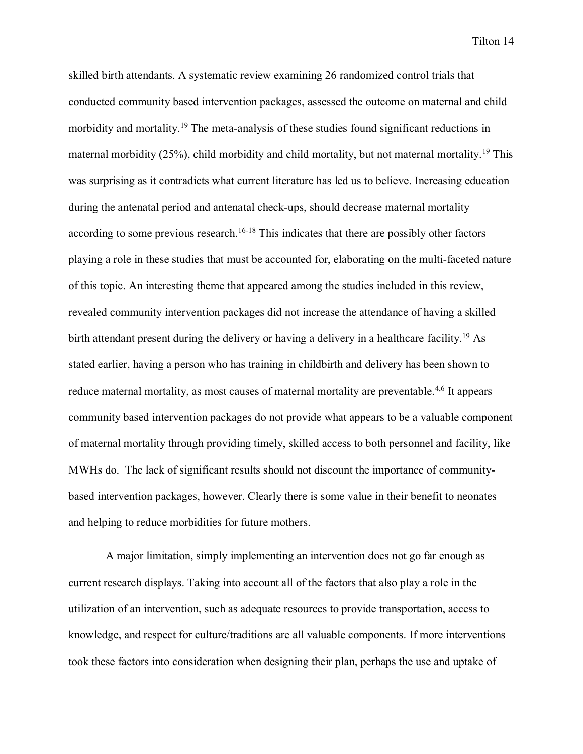skilled birth attendants. A systematic review examining 26 randomized control trials that conducted community based intervention packages, assessed the outcome on maternal and child morbidity and mortality.19 The meta-analysis of these studies found significant reductions in maternal morbidity (25%), child morbidity and child mortality, but not maternal mortality.19 This was surprising as it contradicts what current literature has led us to believe. Increasing education during the antenatal period and antenatal check-ups, should decrease maternal mortality according to some previous research.<sup>16-18</sup> This indicates that there are possibly other factors playing a role in these studies that must be accounted for, elaborating on the multi-faceted nature of this topic. An interesting theme that appeared among the studies included in this review, revealed community intervention packages did not increase the attendance of having a skilled birth attendant present during the delivery or having a delivery in a healthcare facility.19 As stated earlier, having a person who has training in childbirth and delivery has been shown to reduce maternal mortality, as most causes of maternal mortality are preventable.<sup>4,6</sup> It appears community based intervention packages do not provide what appears to be a valuable component of maternal mortality through providing timely, skilled access to both personnel and facility, like MWHs do. The lack of significant results should not discount the importance of communitybased intervention packages, however. Clearly there is some value in their benefit to neonates and helping to reduce morbidities for future mothers.

A major limitation, simply implementing an intervention does not go far enough as current research displays. Taking into account all of the factors that also play a role in the utilization of an intervention, such as adequate resources to provide transportation, access to knowledge, and respect for culture/traditions are all valuable components. If more interventions took these factors into consideration when designing their plan, perhaps the use and uptake of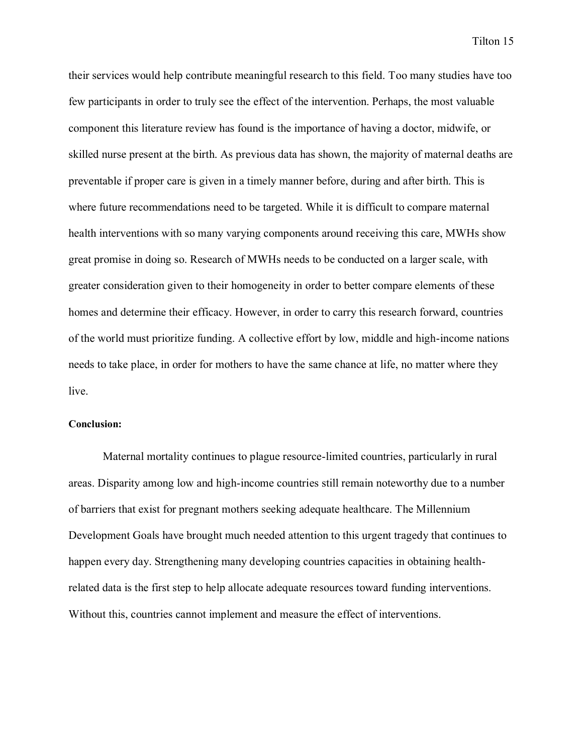their services would help contribute meaningful research to this field. Too many studies have too few participants in order to truly see the effect of the intervention. Perhaps, the most valuable component this literature review has found is the importance of having a doctor, midwife, or skilled nurse present at the birth. As previous data has shown, the majority of maternal deaths are preventable if proper care is given in a timely manner before, during and after birth. This is where future recommendations need to be targeted. While it is difficult to compare maternal health interventions with so many varying components around receiving this care, MWHs show great promise in doing so. Research of MWHs needs to be conducted on a larger scale, with greater consideration given to their homogeneity in order to better compare elements of these homes and determine their efficacy. However, in order to carry this research forward, countries of the world must prioritize funding. A collective effort by low, middle and high-income nations needs to take place, in order for mothers to have the same chance at life, no matter where they live.

#### **Conclusion:**

Maternal mortality continues to plague resource-limited countries, particularly in rural areas. Disparity among low and high-income countries still remain noteworthy due to a number of barriers that exist for pregnant mothers seeking adequate healthcare. The Millennium Development Goals have brought much needed attention to this urgent tragedy that continues to happen every day. Strengthening many developing countries capacities in obtaining healthrelated data is the first step to help allocate adequate resources toward funding interventions. Without this, countries cannot implement and measure the effect of interventions.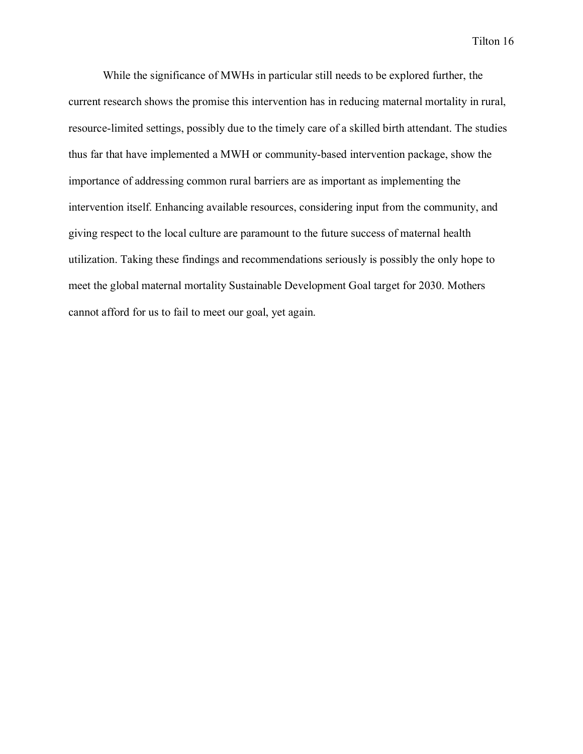While the significance of MWHs in particular still needs to be explored further, the current research shows the promise this intervention has in reducing maternal mortality in rural, resource-limited settings, possibly due to the timely care of a skilled birth attendant. The studies thus far that have implemented a MWH or community-based intervention package, show the importance of addressing common rural barriers are as important as implementing the intervention itself. Enhancing available resources, considering input from the community, and giving respect to the local culture are paramount to the future success of maternal health utilization. Taking these findings and recommendations seriously is possibly the only hope to meet the global maternal mortality Sustainable Development Goal target for 2030. Mothers cannot afford for us to fail to meet our goal, yet again.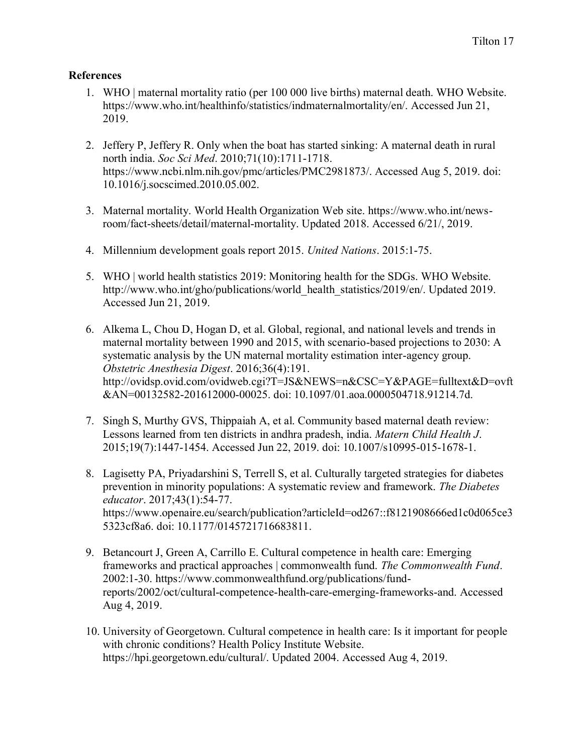# **References**

- 1. WHO | maternal mortality ratio (per 100 000 live births) maternal death. WHO Website. https://www.who.int/healthinfo/statistics/indmaternalmortality/en/. Accessed Jun 21, 2019.
- 2. Jeffery P, Jeffery R. Only when the boat has started sinking: A maternal death in rural north india. *Soc Sci Med*. 2010;71(10):1711-1718. https://www.ncbi.nlm.nih.gov/pmc/articles/PMC2981873/. Accessed Aug 5, 2019. doi: 10.1016/j.socscimed.2010.05.002.
- 3. Maternal mortality. World Health Organization Web site. https://www.who.int/newsroom/fact-sheets/detail/maternal-mortality. Updated 2018. Accessed 6/21/, 2019.
- 4. Millennium development goals report 2015. *United Nations*. 2015:1-75.
- 5. WHO | world health statistics 2019: Monitoring health for the SDGs. WHO Website. http://www.who.int/gho/publications/world\_health\_statistics/2019/en/. Updated 2019. Accessed Jun 21, 2019.
- 6. Alkema L, Chou D, Hogan D, et al. Global, regional, and national levels and trends in maternal mortality between 1990 and 2015, with scenario-based projections to 2030: A systematic analysis by the UN maternal mortality estimation inter-agency group. *Obstetric Anesthesia Digest*. 2016;36(4):191. http://ovidsp.ovid.com/ovidweb.cgi?T=JS&NEWS=n&CSC=Y&PAGE=fulltext&D=ovft &AN=00132582-201612000-00025. doi: 10.1097/01.aoa.0000504718.91214.7d.
- 7. Singh S, Murthy GVS, Thippaiah A, et al. Community based maternal death review: Lessons learned from ten districts in andhra pradesh, india. *Matern Child Health J*. 2015;19(7):1447-1454. Accessed Jun 22, 2019. doi: 10.1007/s10995-015-1678-1.
- 8. Lagisetty PA, Priyadarshini S, Terrell S, et al. Culturally targeted strategies for diabetes prevention in minority populations: A systematic review and framework. *The Diabetes educator*. 2017;43(1):54-77. https://www.openaire.eu/search/publication?articleId=od267::f8121908666ed1c0d065ce3 5323cf8a6. doi: 10.1177/0145721716683811.
- 9. Betancourt J, Green A, Carrillo E. Cultural competence in health care: Emerging frameworks and practical approaches | commonwealth fund. *The Commonwealth Fund*. 2002:1-30. https://www.commonwealthfund.org/publications/fundreports/2002/oct/cultural-competence-health-care-emerging-frameworks-and. Accessed Aug 4, 2019.
- 10. University of Georgetown. Cultural competence in health care: Is it important for people with chronic conditions? Health Policy Institute Website. https://hpi.georgetown.edu/cultural/. Updated 2004. Accessed Aug 4, 2019.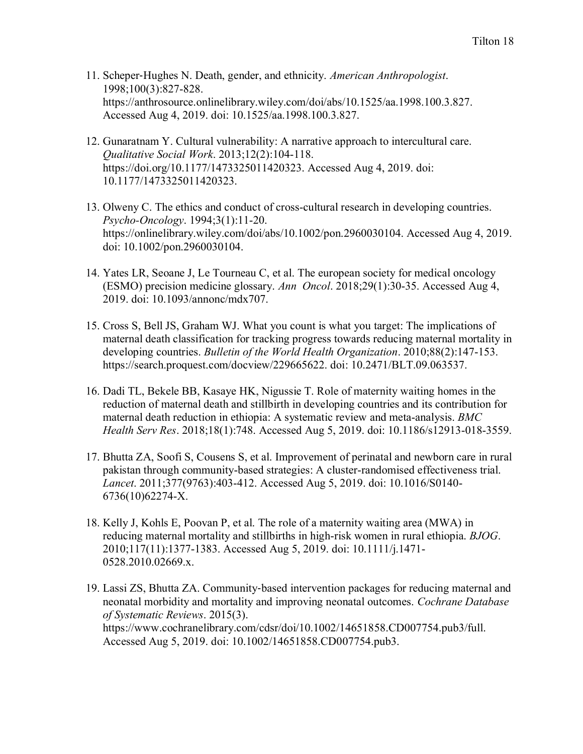- 11. Scheper‐Hughes N. Death, gender, and ethnicity. *American Anthropologist*. 1998;100(3):827-828. https://anthrosource.onlinelibrary.wiley.com/doi/abs/10.1525/aa.1998.100.3.827. Accessed Aug 4, 2019. doi: 10.1525/aa.1998.100.3.827.
- 12. Gunaratnam Y. Cultural vulnerability: A narrative approach to intercultural care. *Qualitative Social Work*. 2013;12(2):104-118. https://doi.org/10.1177/1473325011420323. Accessed Aug 4, 2019. doi: 10.1177/1473325011420323.
- 13. Olweny C. The ethics and conduct of cross-cultural research in developing countries. *Psycho-Oncology*. 1994;3(1):11-20. https://onlinelibrary.wiley.com/doi/abs/10.1002/pon.2960030104. Accessed Aug 4, 2019. doi: 10.1002/pon.2960030104.
- 14. Yates LR, Seoane J, Le Tourneau C, et al. The european society for medical oncology (ESMO) precision medicine glossary. *Ann Oncol*. 2018;29(1):30-35. Accessed Aug 4, 2019. doi: 10.1093/annonc/mdx707.
- 15. Cross S, Bell JS, Graham WJ. What you count is what you target: The implications of maternal death classification for tracking progress towards reducing maternal mortality in developing countries. *Bulletin of the World Health Organization*. 2010;88(2):147-153. https://search.proquest.com/docview/229665622. doi: 10.2471/BLT.09.063537.
- 16. Dadi TL, Bekele BB, Kasaye HK, Nigussie T. Role of maternity waiting homes in the reduction of maternal death and stillbirth in developing countries and its contribution for maternal death reduction in ethiopia: A systematic review and meta-analysis. *BMC Health Serv Res*. 2018;18(1):748. Accessed Aug 5, 2019. doi: 10.1186/s12913-018-3559.
- 17. Bhutta ZA, Soofi S, Cousens S, et al. Improvement of perinatal and newborn care in rural pakistan through community-based strategies: A cluster-randomised effectiveness trial. *Lancet*. 2011;377(9763):403-412. Accessed Aug 5, 2019. doi: 10.1016/S0140- 6736(10)62274-X.
- 18. Kelly J, Kohls E, Poovan P, et al. The role of a maternity waiting area (MWA) in reducing maternal mortality and stillbirths in high-risk women in rural ethiopia. *BJOG*. 2010;117(11):1377-1383. Accessed Aug 5, 2019. doi: 10.1111/j.1471- 0528.2010.02669.x.
- 19. Lassi ZS, Bhutta ZA. Community‐based intervention packages for reducing maternal and neonatal morbidity and mortality and improving neonatal outcomes. *Cochrane Database of Systematic Reviews*. 2015(3). https://www.cochranelibrary.com/cdsr/doi/10.1002/14651858.CD007754.pub3/full. Accessed Aug 5, 2019. doi: 10.1002/14651858.CD007754.pub3.